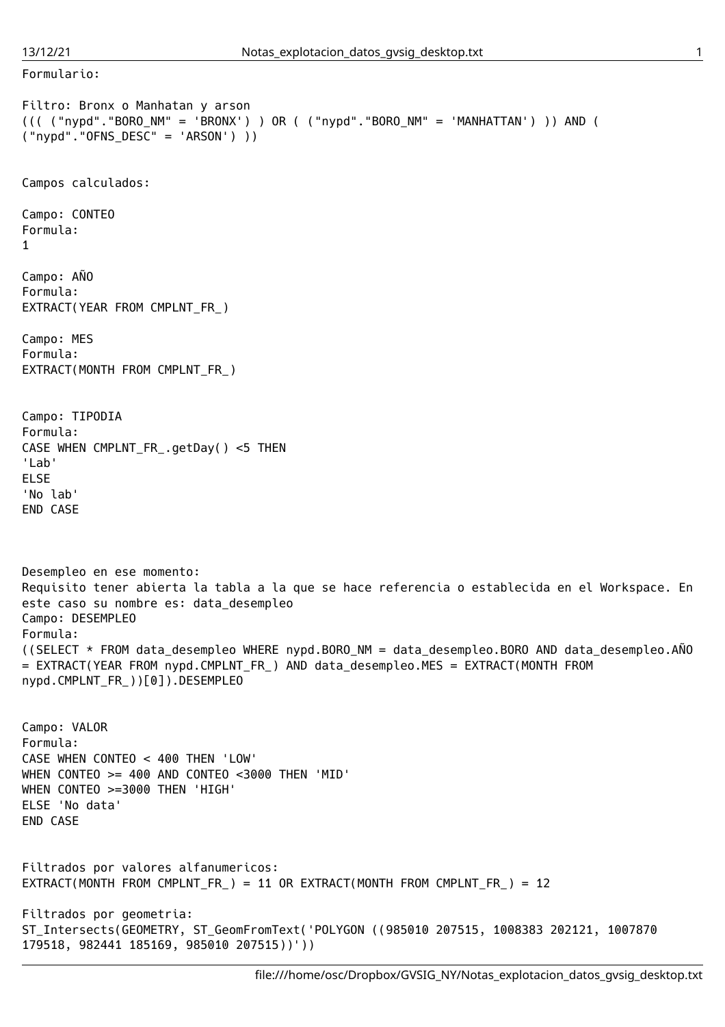Formulario:

```
Filtro: Bronx o Manhatan y arson
((( ("nypd"."BORO_NM" = 'BRONX') ) OR ( ("nypd"."BORO_NM" = 'MANHATTAN') )) AND (
("nypd"."OFNS_DESC" = 'ARSON') ))
Campos calculados:
Campo: CONTEO
Formula:
1
Campo: AÑO
Formula:
EXTRACT(YEAR FROM CMPLNT_FR_)
Campo: MES
Formula:
EXTRACT(MONTH FROM CMPLNT FR_)
Campo: TIPODIA
Formula:
CASE WHEN CMPLNT_FR_.getDay() <5 THEN
'Lab'
ELSE
'No lab'
END CASE
Desempleo en ese momento:
Requisito tener abierta la tabla a la que se hace referencia o establecida en el Workspace. En
este caso su nombre es: data_desempleo
Campo: DESEMPLEO
Formula:
((SELECT * FROM data desempleo WHERE nypd.BORO NM = data desempleo.BORO AND data desempleo.AÑO
= EXTRACT(YEAR FROM nypd.CMPLNT_FR_) AND data_desempleo.MES = EXTRACT(MONTH FROM
nypd.CMPLNT_FR_))[0]).DESEMPLEO
Campo: VALOR
Formula:
CASE WHEN CONTEO < 400 THEN 'LOW'
WHEN CONTEO >= 400 AND CONTEO <3000 THEN 'MID'
WHEN CONTEO >=3000 THEN 'HIGH'
ELSE 'No data'
END CASE
Filtrados por valores alfanumericos:
EXTRACT(MONTH FROM CMPLNT_FR_) = 11 OR EXTRACT(MONTH FROM CMPLNT_FR_) = 12
Filtrados por geometria:
ST_Intersects(GEOMETRY, ST_GeomFromText('POLYGON ((985010 207515, 1008383 202121, 1007870
179518, 982441 185169, 985010 207515))'))
```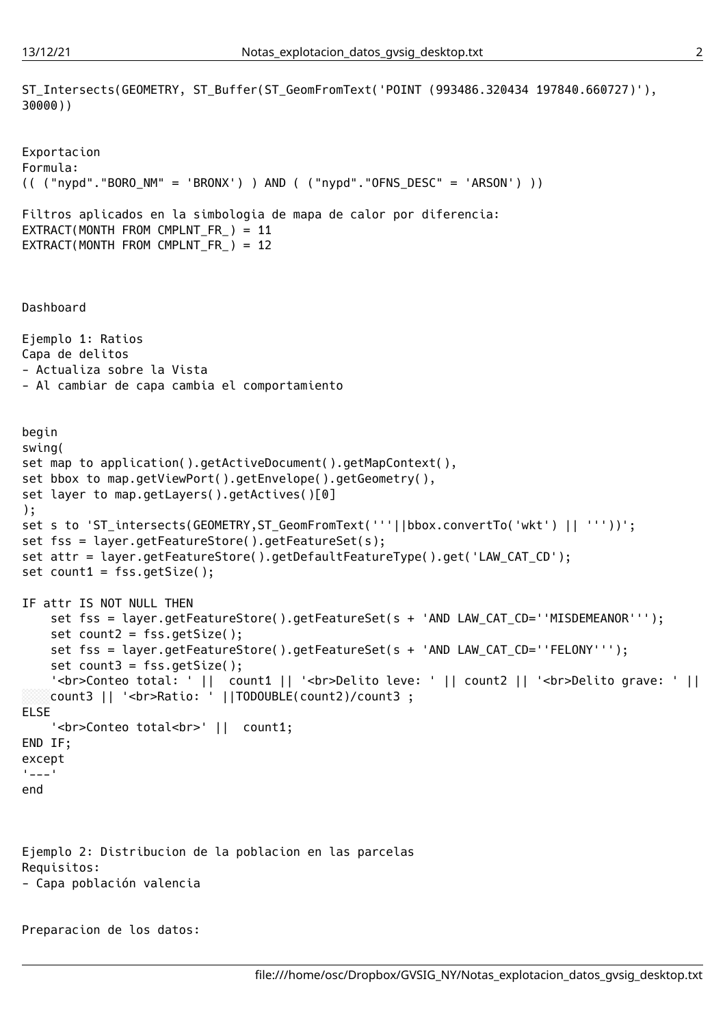```
ST_Intersects(GEOMETRY, ST_Buffer(ST_GeomFromText('POINT (993486.320434 197840.660727)'),
30000))
Exportacion
Formula:
(( ("nypd"."BORO_NM" = 'BRONX') ) AND ( ("nypd"."OFNS_DESC" = 'ARSON') ))
Filtros aplicados en la simbologia de mapa de calor por diferencia:
EXTRACT(MONTH FROM CMPLNT_FR_) = 11
EXTRACT(MONTH FROM CMPLNT_FR_) = 12
Dashboard
Ejemplo 1: Ratios
Capa de delitos
- Actualiza sobre la Vista
- Al cambiar de capa cambia el comportamiento
begin
swing(
set map to application().getActiveDocument().getMapContext(),
set bbox to map.getViewPort().getEnvelope().getGeometry(),
set layer to map.getLayers().getActives()[0]
);
set s to 'ST_intersects(GEOMETRY,ST_GeomFromText('''||bbox.convertTo('wkt') || '''))';
set fss = layer.getFeatureStore().getFeatureSet(s);
set attr = layer.getFeatureStore().getDefaultFeatureType().get('LAW_CAT_CD');
set count1 = fss.getSize();
IF attr IS NOT NULL THEN
   set fss = layer.getFeatureStore().getFeatureSet(s + 'AND LAW_CAT_CD=''MISDEMEANOR''');
   set count2 = fss.getSize();
    set fss = layer.getFeatureStore().getFeatureSet(s + 'AND LAW CAT CD=''FELONY''');
    set count3 = fss.getSize();
    '<br>Conteo total: ' || count1 || '<br>Delito leve: ' || count2 || '<br>Delito grave: ' ||
   count3 || '<br>Ratio: ' ||TODOUBLE(count2)/count3 ;
ELSE
    '<br>Conteo total<br>' || count1;
END IF;
except
'=--'end
Ejemplo 2: Distribucion de la poblacion en las parcelas
Requisitos:
- Capa población valencia
Preparacion de los datos:
```